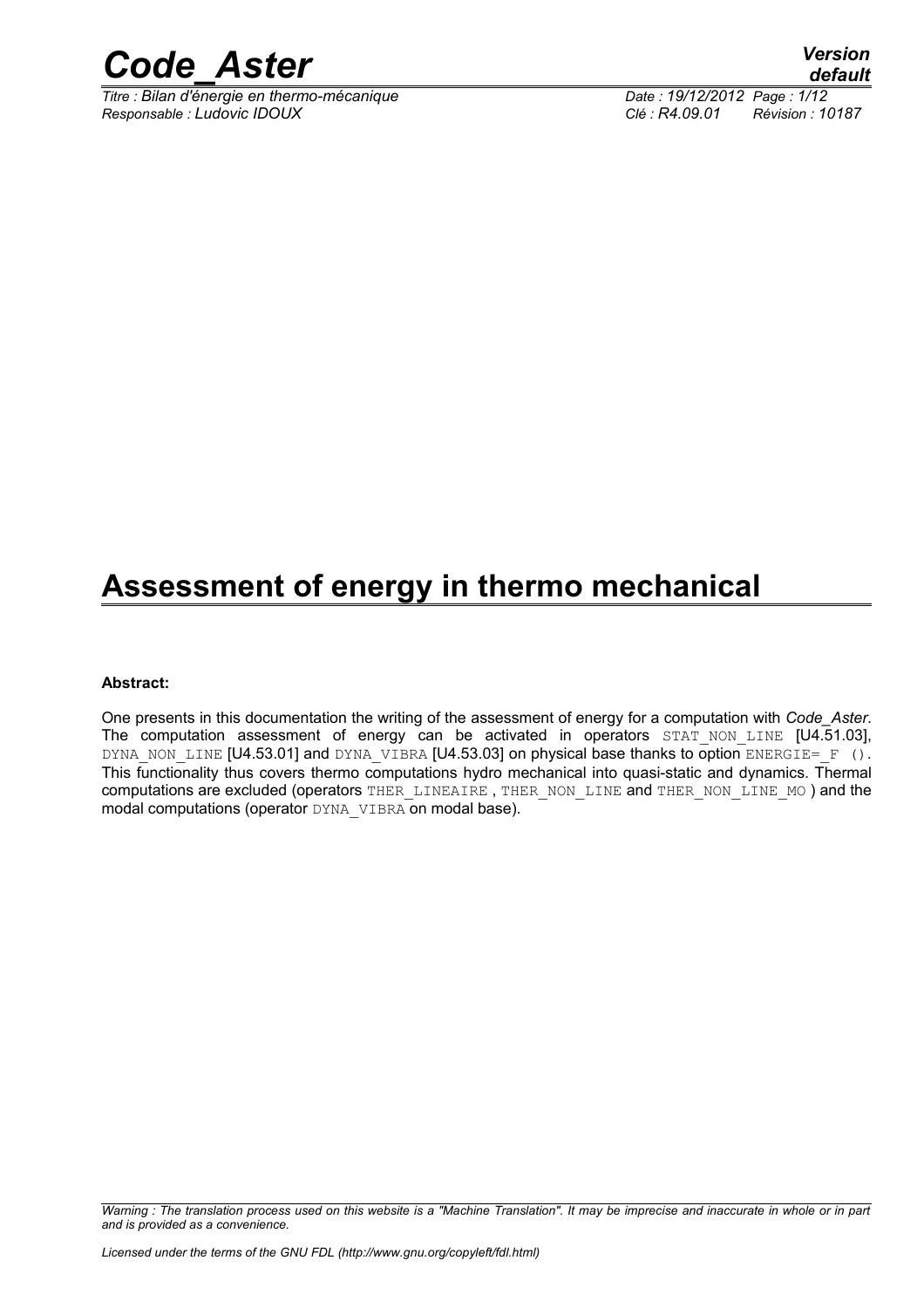

*Titre : Bilan d'énergie en thermo-mécanique Date : 19/12/2012 Page : 1/12 Responsable : Ludovic IDOUX Clé : R4.09.01 Révision : 10187*

## **Assessment of energy in thermo mechanical**

#### **Abstract:**

One presents in this documentation the writing of the assessment of energy for a computation with *Code\_Aster*. The computation assessment of energy can be activated in operators  $STATNON$  LINE  $[U4.51.03]$ , DYNA NON LINE [U4.53.01] and DYNA VIBRA [U4.53.03] on physical base thanks to option ENERGIE= F (). This functionality thus covers thermo computations hydro mechanical into quasi-static and dynamics. Thermal computations are excluded (operators THER\_LINEAIRE, THER\_NON\_LINE and THER\_NON\_LINE MO ) and the modal computations (operator DYNA\_VIBRA on modal base).

*Warning : The translation process used on this website is a "Machine Translation". It may be imprecise and inaccurate in whole or in part and is provided as a convenience.*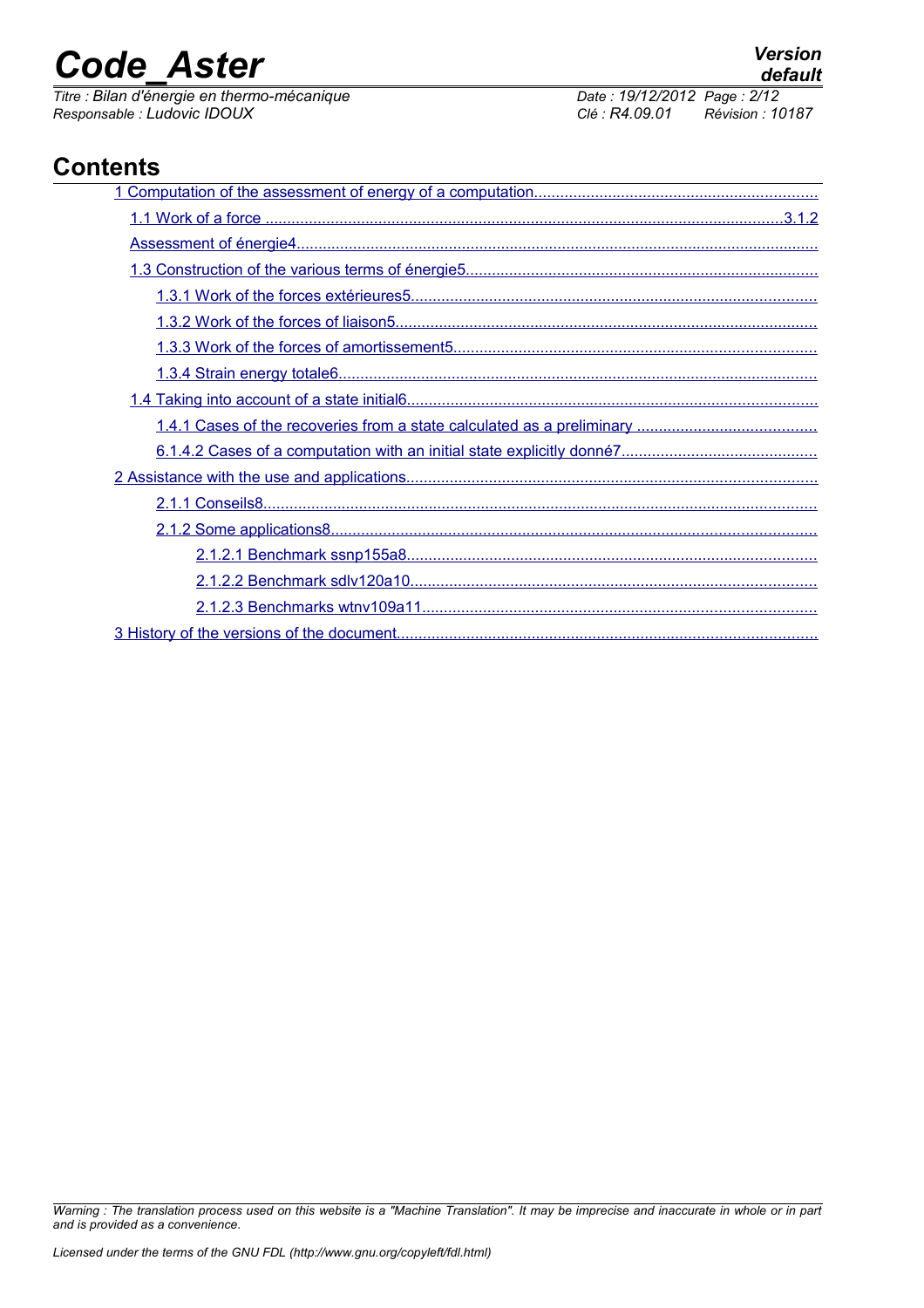*Titre : Bilan d'énergie en thermo-mécanique Date : 19/12/2012 Page : 2/12 Responsable : Ludovic IDOUX Clé : R4.09.01 Révision : 10187*

## **Contents**

*Warning : The translation process used on this website is a "Machine Translation". It may be imprecise and inaccurate in whole or in part and is provided as a convenience.*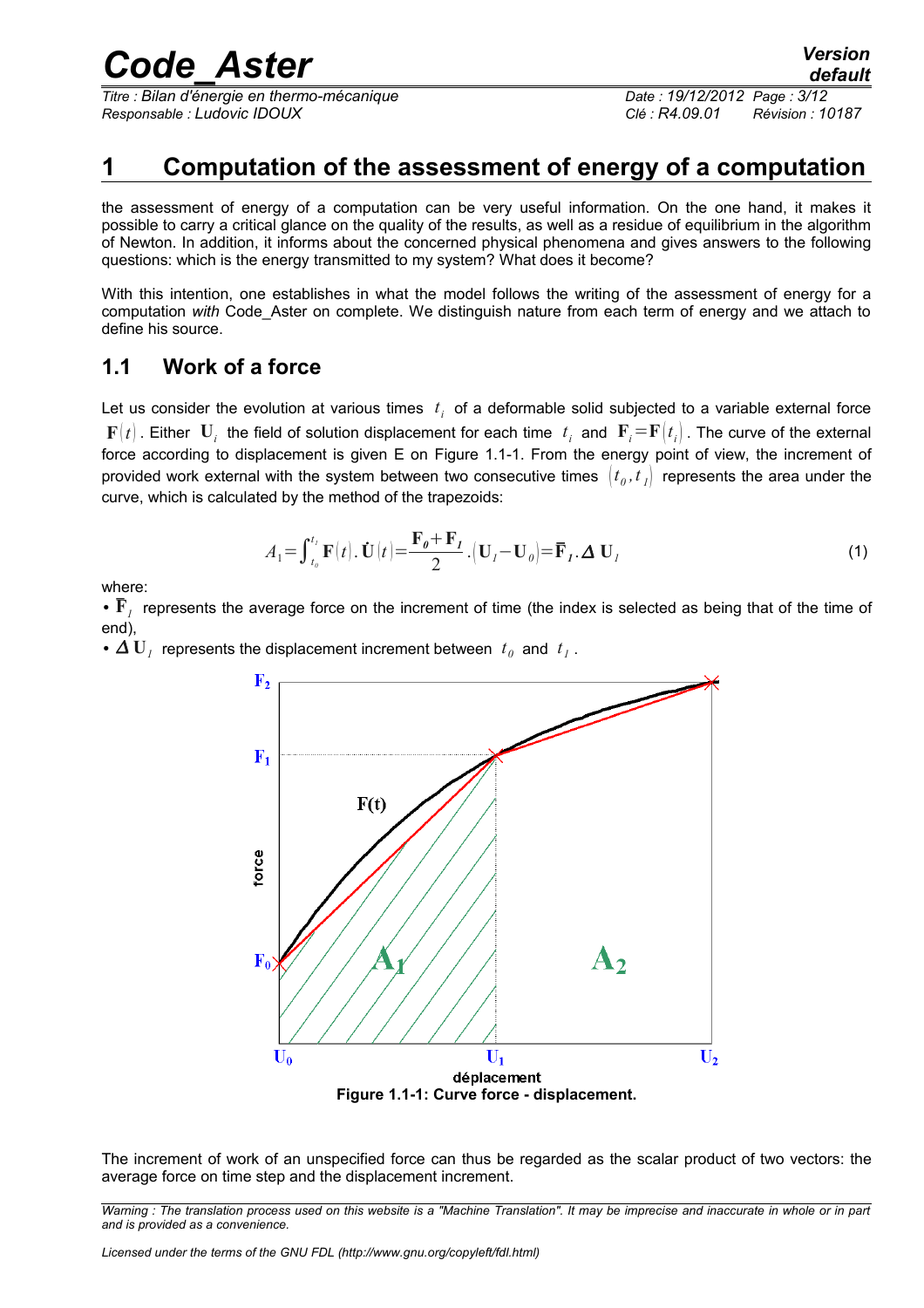*Titre : Bilan d'énergie en thermo-mécanique Date : 19/12/2012 Page : 3/12 Responsable : Ludovic IDOUX Clé : R4.09.01 Révision : 10187*

<span id="page-2-3"></span>

## <span id="page-2-0"></span>**1 Computation of the assessment of energy of a computation**

the assessment of energy of a computation can be very useful information. On the one hand, it makes it possible to carry a critical glance on the quality of the results, as well as a residue of equilibrium in the algorithm of Newton. In addition, it informs about the concerned physical phenomena and gives answers to the following questions: which is the energy transmitted to my system? What does it become?

With this intention, one establishes in what the model follows the writing of the assessment of energy for a computation *with* Code\_Aster on complete. We distinguish nature from each term of energy and we attach to define his source.

### <span id="page-2-1"></span>**1.1 Work of a force**

Let us consider the evolution at various times  $t_i$  of a deformable solid subjected to a variable external force  $\bf{F}(t)$  . Either  $\bf{U}_i$  the field of solution displacement for each time  $~t_i$  and  $~\bf{F}_i\!=\!\bf{F}(t_i)$  . The curve of the external force according to displacement is given E on [Figure 1.1-1.](#page-2-2) From the energy point of view, the increment of provided work external with the system between two consecutive times  $\, [t_o, t_{\,I}] \,$  represents the area under the curve, which is calculated by the method of the trapezoids:

$$
A_1 = \int_{t_0}^{t_1} \mathbf{F}(t) \cdot \dot{\mathbf{U}}(t) = \frac{\mathbf{F}_0 + \mathbf{F}_1}{2} \cdot (\mathbf{U}_1 - \mathbf{U}_0) = \overline{\mathbf{F}}_1 \cdot \Delta \mathbf{U}_1
$$
 (1)

where:

•  $\bar{\mathbf{F}}_I$  represents the average force on the increment of time (the index is selected as being that of the time of end),

•  $\Delta U_I$  represents the displacement increment between  $t_0$  and  $t_I$ .



<span id="page-2-2"></span>The increment of work of an unspecified force can thus be regarded as the scalar product of two vectors: the average force on time step and the displacement increment.

*Warning : The translation process used on this website is a "Machine Translation". It may be imprecise and inaccurate in whole or in part and is provided as a convenience.*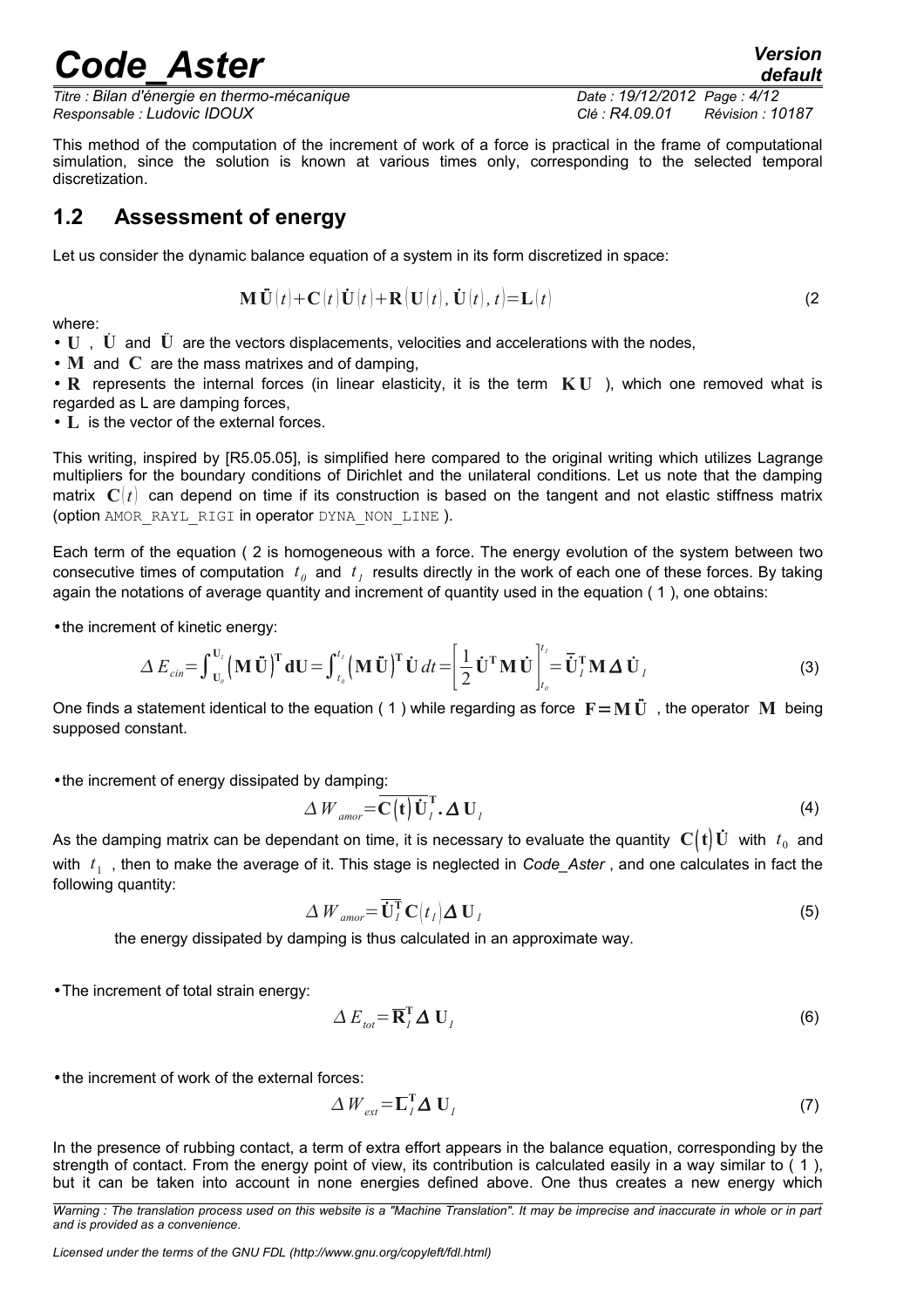*Titre : Bilan d'énergie en thermo-mécanique Date : 19/12/2012 Page : 4/12 Responsable : Ludovic IDOUX Clé : R4.09.01 Révision : 10187*

<span id="page-3-1"></span>*default*

This method of the computation of the increment of work of a force is practical in the frame of computational simulation, since the solution is known at various times only, corresponding to the selected temporal discretization.

## <span id="page-3-0"></span>**1.2 Assessment of energy**

Let us consider the dynamic balance equation of a system in its form discretized in space:

$$
\mathbf{M}\ddot{\mathbf{U}}(t) + \mathbf{C}(t)\dot{\mathbf{U}}(t) + \mathbf{R}(\mathbf{U}(t), \dot{\mathbf{U}}(t), t) = \mathbf{L}(t)
$$
\n(2)

where:

• **U**, **U** $\dot{\mathbf{U}}$  and  $\ddot{\mathbf{U}}$  are the vectors displacements, velocities and accelerations with the nodes,

• **M** and **C** are the mass matrixes and of damping,

• **R** represents the internal forces (in linear elasticity, it is the term **K U** ), which one removed what is regarded as L are damping forces,

• L is the vector of the external forces.

This writing, inspired by [R5.05.05], is simplified here compared to the original writing which utilizes Lagrange multipliers for the boundary conditions of Dirichlet and the unilateral conditions. Let us note that the damping matrix  $C(t)$  can depend on time if its construction is based on the tangent and not elastic stiffness matrix (option AMOR\_RAYL\_RIGI in operator DYNA\_NON\_LINE ).

Each term of the equation ( [2](#page-3-1) is homogeneous with a force. The energy evolution of the system between two consecutive times of computation  $t_0$  and  $t_1$  results directly in the work of each one of these forces. By taking again the notations of average quantity and increment of quantity used in the equation ( [1](#page-2-3) ), one obtains:

•the increment of kinetic energy:

$$
\Delta E_{\text{cin}} = \int_{\mathbf{U}_0}^{\mathbf{U}_I} (\mathbf{M}\ddot{\mathbf{U}})^{\mathbf{T}} \mathbf{dU} = \int_{t_0}^{t_1} (\mathbf{M}\ddot{\mathbf{U}})^{\mathbf{T}} \dot{\mathbf{U}} dt = \left[ \frac{1}{2} \dot{\mathbf{U}}^{\mathbf{T}} \mathbf{M} \dot{\mathbf{U}} \right]_{t_0}^{t_1} = \overline{\dot{\mathbf{U}}}_I^{\mathbf{T}} \mathbf{M} \Delta \dot{\mathbf{U}}_I
$$
 (3)

One finds a statement identical to the equation (1) while regarding as force  $\mathbf{F} = \mathbf{M} \mathbf{U}$  , the operator **M** being supposed constant.

•the increment of energy dissipated by damping:

$$
\Delta W_{\text{amor}} = \overline{\mathbf{C}\left(t\right)\mathbf{U}_I^{\mathsf{T}}}, \Delta \mathbf{U}_I
$$
\n(4)

As the damping matrix can be dependant on time, it is necessary to evaluate the quantity  $\bf C(t)\dot{\bf U}$  with  $\it t_0$  and with  $t_1$ , then to make the average of it. This stage is neglected in *Code\_Aster*, and one calculates in fact the following quantity:

$$
\Delta W_{\text{amor}} = \overline{\mathbf{U}_I^{\mathsf{T}}}\mathbf{C}\big(t_I\big)\mathbf{\Delta U}_I
$$
\n(5)

the energy dissipated by damping is thus calculated in an approximate way.

•The increment of total strain energy:

<span id="page-3-2"></span>
$$
\Delta E_{\text{tot}} = \overline{\mathbf{R}}_I^{\text{T}} \Delta \mathbf{U}_I \tag{6}
$$

•the increment of work of the external forces:

$$
\Delta W_{ext} = \overline{\mathbf{L}}_I^{\mathsf{T}} \Delta \mathbf{U}_I
$$
 (7)

In the presence of rubbing contact, a term of extra effort appears in the balance equation, corresponding by the strength of contact. From the energy point of view, its contribution is calculated easily in a way similar to ( [1](#page-2-3) ), but it can be taken into account in none energies defined above. One thus creates a new energy which

*Licensed under the terms of the GNU FDL (http://www.gnu.org/copyleft/fdl.html)*

*Warning : The translation process used on this website is a "Machine Translation". It may be imprecise and inaccurate in whole or in part and is provided as a convenience.*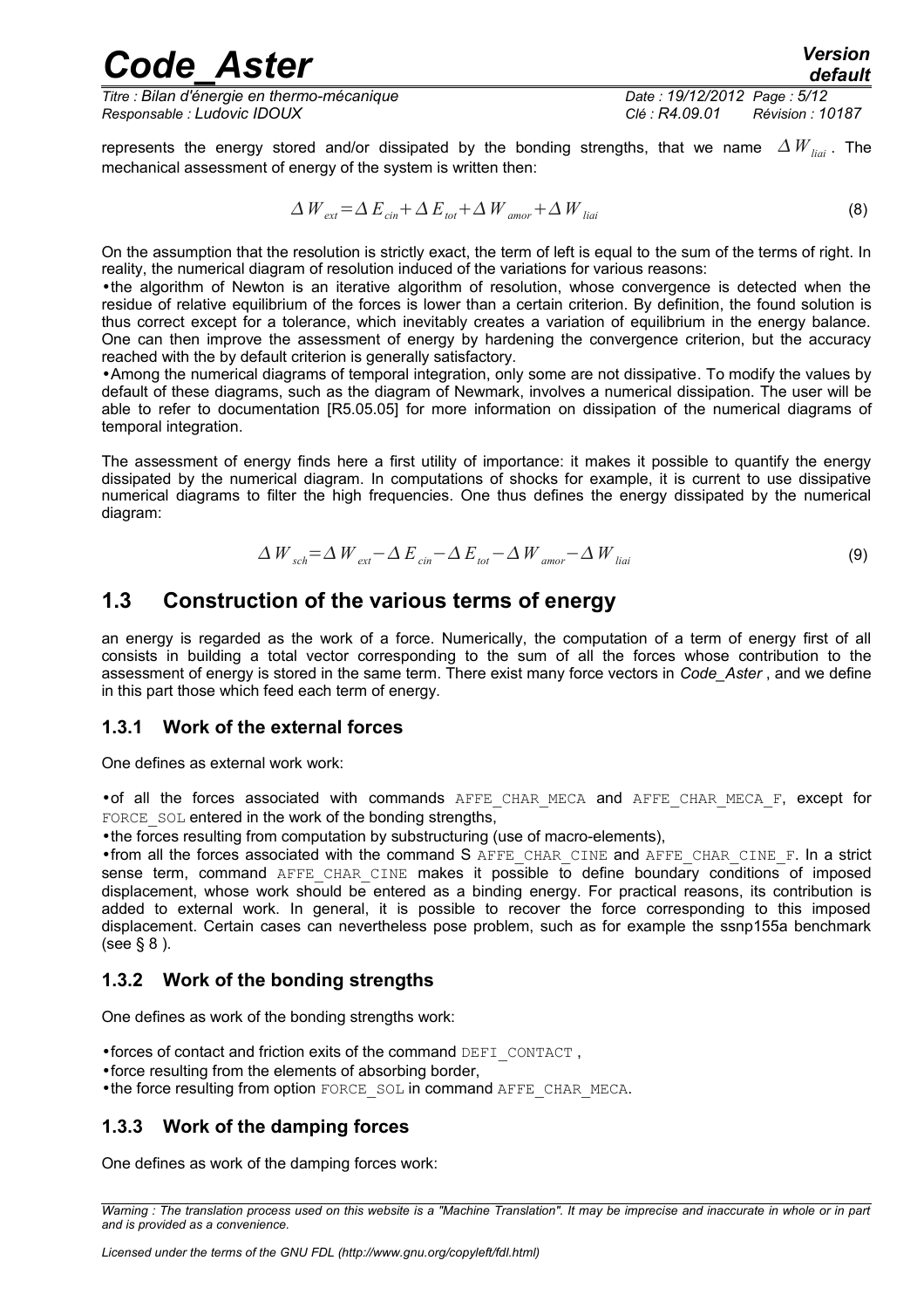*Code\_Aster Version Titre : Bilan d'énergie en thermo-mécanique Date : 19/12/2012 Page : 5/12*

*Responsable : Ludovic IDOUX Clé : R4.09.01 Révision : 10187*

<span id="page-4-4"></span>

represents the energy stored and/or dissipated by the bonding strengths, that we name  $\Delta W_{\text{ini}}$ . The mechanical assessment of energy of the system is written then:

$$
\Delta W_{ext} = \Delta E_{\text{cin}} + \Delta E_{\text{tot}} + \Delta W_{\text{amor}} + \Delta W_{\text{liai}} \tag{8}
$$

On the assumption that the resolution is strictly exact, the term of left is equal to the sum of the terms of right. In reality, the numerical diagram of resolution induced of the variations for various reasons:

•the algorithm of Newton is an iterative algorithm of resolution, whose convergence is detected when the residue of relative equilibrium of the forces is lower than a certain criterion. By definition, the found solution is thus correct except for a tolerance, which inevitably creates a variation of equilibrium in the energy balance. One can then improve the assessment of energy by hardening the convergence criterion, but the accuracy reached with the by default criterion is generally satisfactory.

•Among the numerical diagrams of temporal integration, only some are not dissipative. To modify the values by default of these diagrams, such as the diagram of Newmark, involves a numerical dissipation. The user will be able to refer to documentation [R5.05.05] for more information on dissipation of the numerical diagrams of temporal integration.

The assessment of energy finds here a first utility of importance: it makes it possible to quantify the energy dissipated by the numerical diagram. In computations of shocks for example, it is current to use dissipative numerical diagrams to filter the high frequencies. One thus defines the energy dissipated by the numerical diagram:

$$
\Delta W_{\text{sch}} = \Delta W_{\text{ext}} - \Delta E_{\text{cin}} - \Delta E_{\text{tot}} - \Delta W_{\text{amor}} - \Delta W_{\text{liai}} \tag{9}
$$

### <span id="page-4-3"></span>**1.3 Construction of the various terms of energy**

an energy is regarded as the work of a force. Numerically, the computation of a term of energy first of all consists in building a total vector corresponding to the sum of all the forces whose contribution to the assessment of energy is stored in the same term. There exist many force vectors in *Code\_Aster* , and we define in this part those which feed each term of energy.

### <span id="page-4-2"></span>**1.3.1 Work of the external forces**

One defines as external work work:

•of all the forces associated with commands AFFE\_CHAR\_MECA and AFFE\_CHAR\_MECA\_F, except for FORCE SOL entered in the work of the bonding strengths,

•the forces resulting from computation by substructuring (use of macro-elements),

•from all the forces associated with the command S AFFE\_CHAR\_CINE and AFFE\_CHAR\_CINE\_F. In a strict sense term, command AFFE CHAR CINE makes it possible to define boundary conditions of imposed displacement, whose work should be entered as a binding energy. For practical reasons, its contribution is added to external work. In general, it is possible to recover the force corresponding to this imposed displacement. Certain cases can nevertheless pose problem, such as for example the ssnp155a benchmark (see § [8](#page-7-0) ).

### <span id="page-4-1"></span>**1.3.2 Work of the bonding strengths**

One defines as work of the bonding strengths work:

 $\bullet$  forces of contact and friction exits of the command DEFI\_CONTACT,

- •force resulting from the elements of absorbing border,
- •the force resulting from option FORCE\_SOL in command AFFE\_CHAR\_MECA.

### <span id="page-4-0"></span>**1.3.3 Work of the damping forces**

One defines as work of the damping forces work:

*Warning : The translation process used on this website is a "Machine Translation". It may be imprecise and inaccurate in whole or in part and is provided as a convenience.*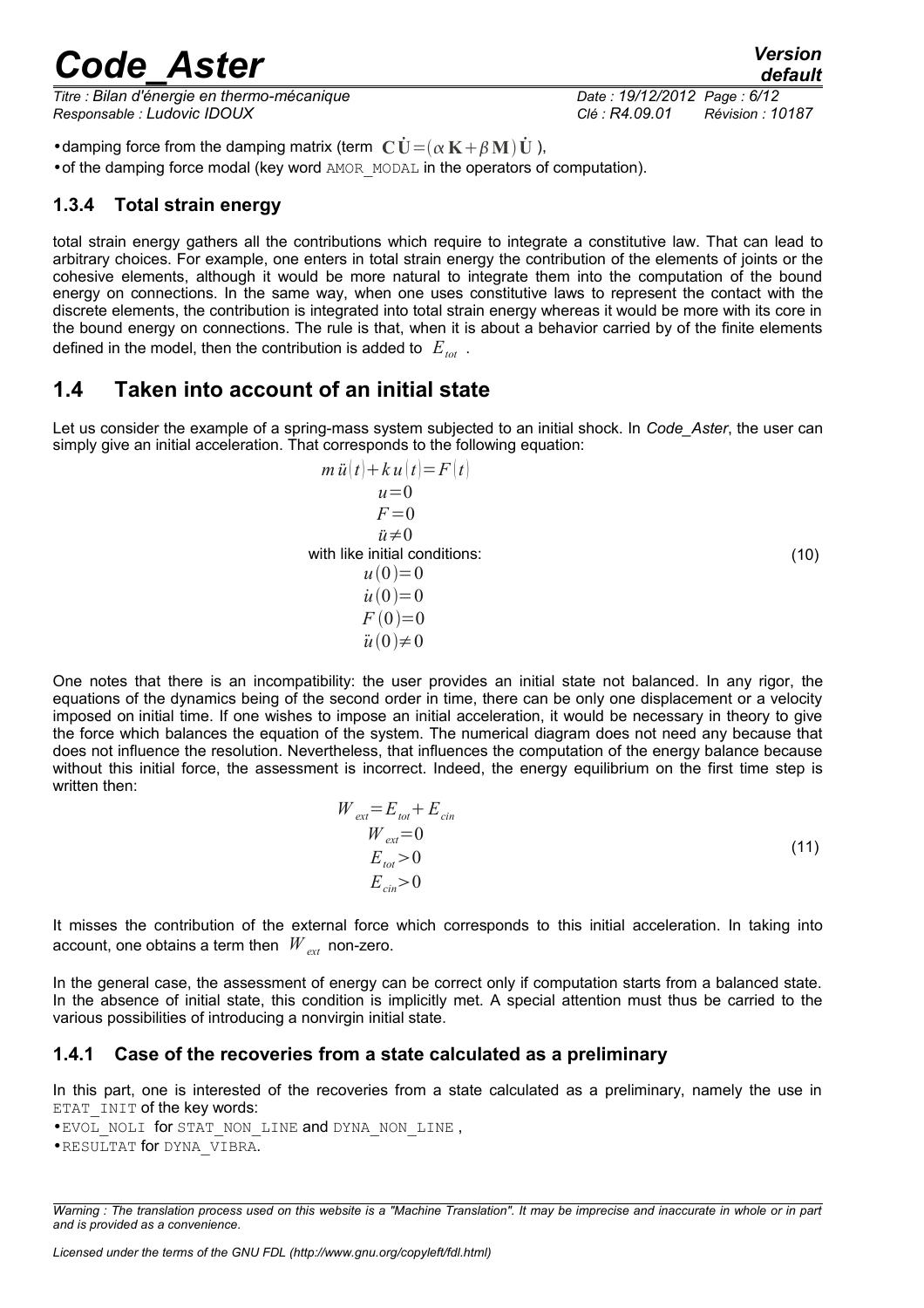*Titre : Bilan d'énergie en thermo-mécanique Date : 19/12/2012 Page : 6/12 Responsable : Ludovic IDOUX Clé : R4.09.01 Révision : 10187*

*default*<br>Date : 19/12/2012 Page : 6/12

• damping force from the damping matrix (term  $\mathbf{C}\dot{\mathbf{U}} = (\alpha \mathbf{K} + \beta \mathbf{M})\dot{\mathbf{U}}$ ), •of the damping force modal (key word AMOR\_MODAL in the operators of computation).

### <span id="page-5-2"></span>**1.3.4 Total strain energy**

total strain energy gathers all the contributions which require to integrate a constitutive law. That can lead to arbitrary choices. For example, one enters in total strain energy the contribution of the elements of joints or the cohesive elements, although it would be more natural to integrate them into the computation of the bound energy on connections. In the same way, when one uses constitutive laws to represent the contact with the discrete elements, the contribution is integrated into total strain energy whereas it would be more with its core in the bound energy on connections. The rule is that, when it is about a behavior carried by of the finite elements defined in the model, then the contribution is added to *Etot* .

### <span id="page-5-1"></span>**1.4 Taken into account of an initial state**

Let us consider the example of a spring-mass system subjected to an initial shock. In *Code\_Aster*, the user can simply give an initial acceleration. That corresponds to the following equation:

$$
m \ddot{u}(t) + k u(t) = F(t)
$$
  
\n
$$
u = 0
$$
  
\n
$$
F = 0
$$
  
\n
$$
\ddot{u} \neq 0
$$
  
\nwith like initial conditions:  
\n
$$
u(0) = 0
$$
  
\n
$$
\dot{u}(0) = 0
$$
  
\n
$$
F(0) = 0
$$
  
\n
$$
\ddot{u}(0) \neq 0
$$

One notes that there is an incompatibility: the user provides an initial state not balanced. In any rigor, the equations of the dynamics being of the second order in time, there can be only one displacement or a velocity imposed on initial time. If one wishes to impose an initial acceleration, it would be necessary in theory to give the force which balances the equation of the system. The numerical diagram does not need any because that does not influence the resolution. Nevertheless, that influences the computation of the energy balance because without this initial force, the assessment is incorrect. Indeed, the energy equilibrium on the first time step is written then:

$$
W_{ext} = E_{tot} + E_{cin}
$$
  
\n
$$
W_{ext} = 0
$$
  
\n
$$
E_{tot} > 0
$$
  
\n
$$
E_{cin} > 0
$$
\n(11)

It misses the contribution of the external force which corresponds to this initial acceleration. In taking into account, one obtains a term then  $W_{ext}$  non-zero.

In the general case, the assessment of energy can be correct only if computation starts from a balanced state. In the absence of initial state, this condition is implicitly met. A special attention must thus be carried to the various possibilities of introducing a nonvirgin initial state.

### <span id="page-5-0"></span>**1.4.1 Case of the recoveries from a state calculated as a preliminary**

In this part, one is interested of the recoveries from a state calculated as a preliminary, namely the use in ETAT INIT of the key words:

• EVOL NOLI for STAT\_NON\_LINE and DYNA\_NON\_LINE ,

<sup>•</sup>RESULTAT for DYNA\_VIBRA.

*Warning : The translation process used on this website is a "Machine Translation". It may be imprecise and inaccurate in whole or in part and is provided as a convenience.*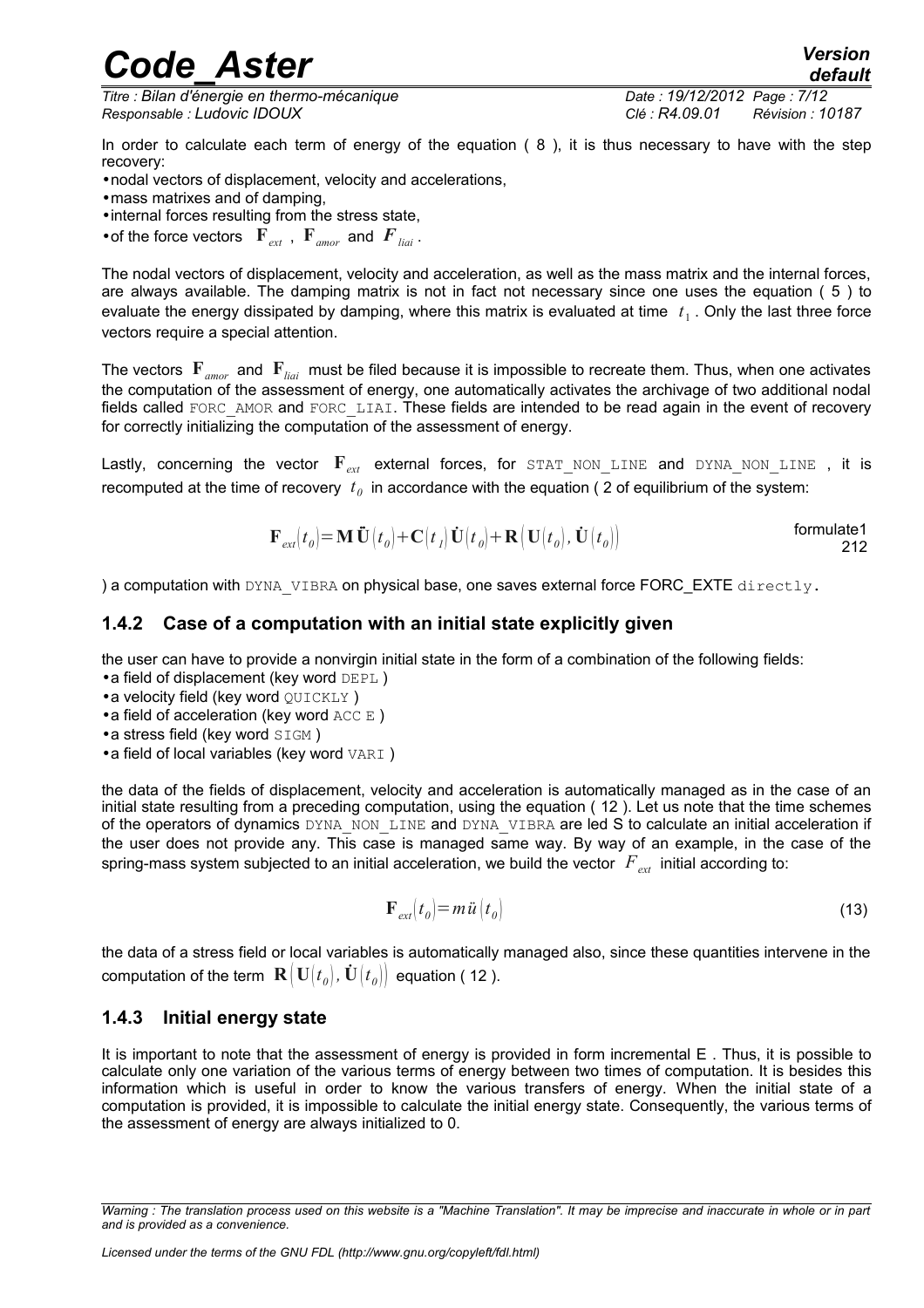*Titre : Bilan d'énergie en thermo-mécanique Date : 19/12/2012 Page : 7/12 Responsable : Ludovic IDOUX Clé : R4.09.01 Révision : 10187*

<span id="page-6-1"></span>

In order to calculate each term of energy of the equation ( [8](#page-4-4) ), it is thus necessary to have with the step recovery:

•nodal vectors of displacement, velocity and accelerations,

- •mass matrixes and of damping,
- •internal forces resulting from the stress state,
- of the force vectors  $\mathbf{F}_{ext}$ ,  $\mathbf{F}_{amor}$  and  $\mathbf{F}_{lin}$ .

The nodal vectors of displacement, velocity and acceleration, as well as the mass matrix and the internal forces, are always available. The damping matrix is not in fact not necessary since one uses the equation ( [5](#page-3-2) ) to evaluate the energy dissipated by damping, where this matrix is evaluated at time  $|t_1|$ . Only the last three force vectors require a special attention.

The vectors **F***amor* and **F***liai* must be filed because it is impossible to recreate them. Thus, when one activates the computation of the assessment of energy, one automatically activates the archivage of two additional nodal fields called FORC\_AMOR and FORC\_LIAI. These fields are intended to be read again in the event of recovery for correctly initializing the computation of the assessment of energy.

Lastly, concerning the vector  $\mathbf{F}_{ext}$  external forces, for STAT\_NON\_LINE and DYNA\_NON\_LINE , it is recomputed at the time of recovery  $t_0$  in accordance with the equation ( [2](#page-3-1) of equilibrium of the system:

$$
\mathbf{F}_{ext}(t_0) = \mathbf{M} \ddot{\mathbf{U}}(t_0) + \mathbf{C}(t_1) \dot{\mathbf{U}}(t_0) + \mathbf{R} (\mathbf{U}(t_0), \dot{\mathbf{U}}(t_0))
$$
formulate1  
212

) a computation with  $DYNA$  VIBRA on physical base, one saves external force FORC EXTE directly.

### <span id="page-6-0"></span>**1.4.2 Case of a computation with an initial state explicitly given**

the user can have to provide a nonvirgin initial state in the form of a combination of the following fields:

- •a field of displacement (key word DEPL )
- a velocity field (key word QUICKLY)
- a field of acceleration (key word  $\text{ACC} \to$ )
- a stress field (key word SIGM)
- a field of local variables (key word VARI)

the data of the fields of displacement, velocity and acceleration is automatically managed as in the case of an initial state resulting from a preceding computation, using the equation ( [12](#page-6-1) ). Let us note that the time schemes of the operators of dynamics DYNA\_NON\_LINE and DYNA\_VIBRA are led S to calculate an initial acceleration if the user does not provide any. This case is managed same way. By way of an example, in the case of the spring-mass system subjected to an initial acceleration, we build the vector *Fext* initial according to:

$$
\mathbf{F}_{ext}(t_0) = m\ddot{u}(t_0) \tag{13}
$$

the data of a stress field or local variables is automatically managed also, since these quantities intervene in the  $\mathbf{c}$  computation of the term  $\mathbf{R}\big(\mathbf{U}[t_o],\dot{\mathbf{U}}[t_o]\big)$  equation ( [12](#page-6-1) ).

### **1.4.3 Initial energy state**

It is important to note that the assessment of energy is provided in form incremental E . Thus, it is possible to calculate only one variation of the various terms of energy between two times of computation. It is besides this information which is useful in order to know the various transfers of energy. When the initial state of a computation is provided, it is impossible to calculate the initial energy state. Consequently, the various terms of the assessment of energy are always initialized to 0.

*Warning : The translation process used on this website is a "Machine Translation". It may be imprecise and inaccurate in whole or in part and is provided as a convenience.*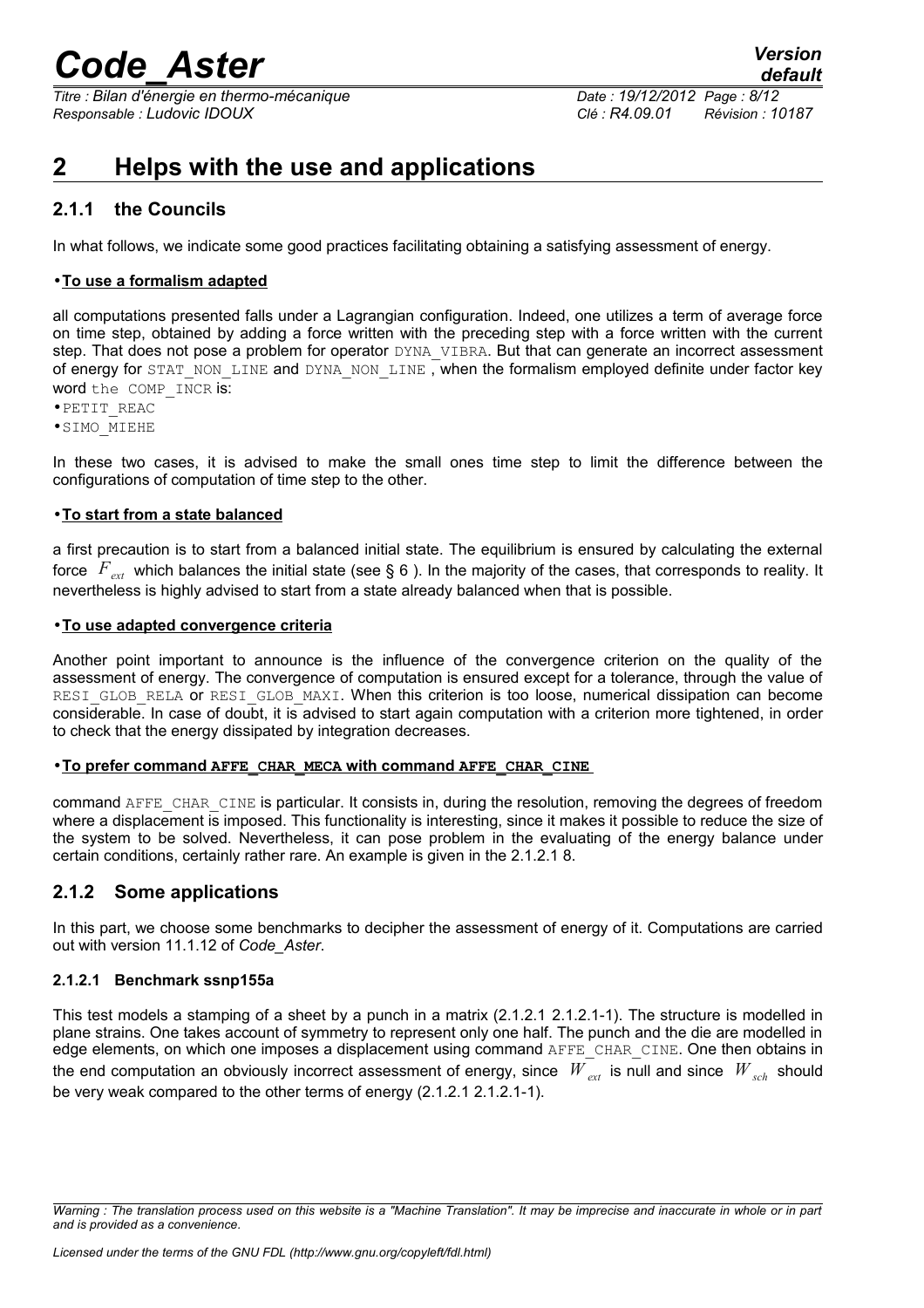*Titre : Bilan d'énergie en thermo-mécanique Date : 19/12/2012 Page : 8/12 Responsable : Ludovic IDOUX Clé : R4.09.01 Révision : 10187*

## <span id="page-7-3"></span>**2 Helps with the use and applications**

### <span id="page-7-2"></span>**2.1.1 the Councils**

In what follows, we indicate some good practices facilitating obtaining a satisfying assessment of energy.

### • **To use a formalism adapted**

all computations presented falls under a Lagrangian configuration. Indeed, one utilizes a term of average force on time step, obtained by adding a force written with the preceding step with a force written with the current step. That does not pose a problem for operator DYNA VIBRA. But that can generate an incorrect assessment of energy for STAT\_NON\_LINE and DYNA\_NON\_LINE, when the formalism employed definite under factor key word the COMP INCR is:

•PETIT\_REAC

•SIMO\_MIEHE

In these two cases, it is advised to make the small ones time step to limit the difference between the configurations of computation of time step to the other.

#### • **To start from a state balanced**

a first precaution is to start from a balanced initial state. The equilibrium is ensured by calculating the external force *Fext* which balances the initial state (see § [6](#page-5-0) ). In the majority of the cases, that corresponds to reality. It nevertheless is highly advised to start from a state already balanced when that is possible.

#### • **To use adapted convergence criteria**

Another point important to announce is the influence of the convergence criterion on the quality of the assessment of energy. The convergence of computation is ensured except for a tolerance, through the value of RESI GLOB RELA or RESI GLOB MAXI. When this criterion is too loose, numerical dissipation can become considerable. In case of doubt, it is advised to start again computation with a criterion more tightened, in order to check that the energy dissipated by integration decreases.

#### • **To prefer command AFFE\_CHAR\_MECA with command AFFE\_CHAR\_CINE**

command AFFE\_CHAR\_CINE is particular. It consists in, during the resolution, removing the degrees of freedom where a displacement is imposed. This functionality is interesting, since it makes it possible to reduce the size of the system to be solved. Nevertheless, it can pose problem in the evaluating of the energy balance under certain conditions, certainly rather rare. An example is given in the 2.1.2.1 [8.](#page-7-0)

### <span id="page-7-1"></span>**2.1.2 Some applications**

In this part, we choose some benchmarks to decipher the assessment of energy of it. Computations are carried out with version 11.1.12 of *Code\_Aster*.

### <span id="page-7-0"></span>**2.1.2.1 Benchmark ssnp155a**

This test models a stamping of a sheet by a punch in a matrix (2.1.2.1 [2.1.2.1-1\)](#page-8-1). The structure is modelled in plane strains. One takes account of symmetry to represent only one half. The punch and the die are modelled in edge elements, on which one imposes a displacement using command AFFE\_CHAR\_CINE. One then obtains in the end computation an obviously incorrect assessment of energy, since  $W_{ext}$  is null and since  $W_{ext}$  should be very weak compared to the other terms of energy (2.1.2.1 [2.1.2.1-1\)](#page-8-0).

*Warning : The translation process used on this website is a "Machine Translation". It may be imprecise and inaccurate in whole or in part and is provided as a convenience.*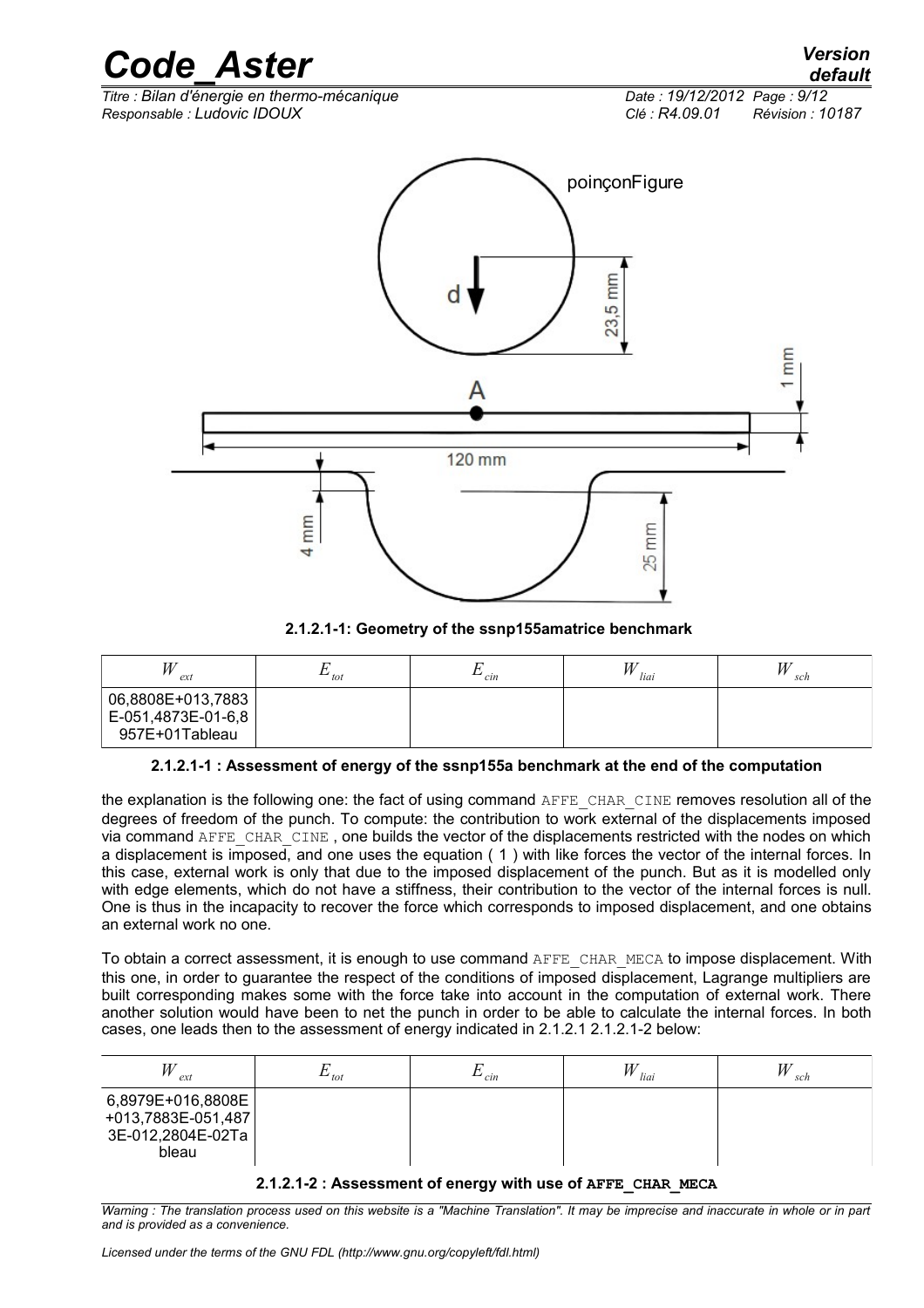*Titre : Bilan d'énergie en thermo-mécanique Date : 19/12/2012 Page : 9/12 Responsable : Ludovic IDOUX Clé : R4.09.01 Révision : 10187*



<span id="page-8-1"></span>**2.1.2.1-1: Geometry of the ssnp155amatrice benchmark**

| W<br>ext                                                  | tot | cin | liai | W<br>sch |
|-----------------------------------------------------------|-----|-----|------|----------|
| 06,8808E+013,7883<br>E-051,4873E-01-6,8<br>957E+01Tableau |     |     |      |          |

### <span id="page-8-0"></span>**2.1.2.1-1 : Assessment of energy of the ssnp155a benchmark at the end of the computation**

the explanation is the following one: the fact of using command AFFE\_CHAR\_CINE removes resolution all of the degrees of freedom of the punch. To compute: the contribution to work external of the displacements imposed via command AFFE\_CHAR\_CINE , one builds the vector of the displacements restricted with the nodes on which a displacement is imposed, and one uses the equation ( [1](#page-2-3) ) with like forces the vector of the internal forces. In this case, external work is only that due to the imposed displacement of the punch. But as it is modelled only with edge elements, which do not have a stiffness, their contribution to the vector of the internal forces is null. One is thus in the incapacity to recover the force which corresponds to imposed displacement, and one obtains an external work no one.

To obtain a correct assessment, it is enough to use command AFFE\_CHAR\_MECA to impose displacement. With this one, in order to guarantee the respect of the conditions of imposed displacement, Lagrange multipliers are built corresponding makes some with the force take into account in the computation of external work. There another solution would have been to net the punch in order to be able to calculate the internal forces. In both cases, one leads then to the assessment of energy indicated in 2.1.2.1 [2.1.2.1-2](#page-8-2) below:

| W<br>ext                                                              | tot | cin | liai | sch |
|-----------------------------------------------------------------------|-----|-----|------|-----|
| 6,8979E+016,8808E<br>+013,7883E-051,487<br>3E-012,2804E-02Ta<br>bleau |     |     |      |     |

### <span id="page-8-2"></span>**2.1.2.1-2 : Assessment of energy with use of AFFE\_CHAR\_MECA**

*Warning : The translation process used on this website is a "Machine Translation". It may be imprecise and inaccurate in whole or in part and is provided as a convenience.*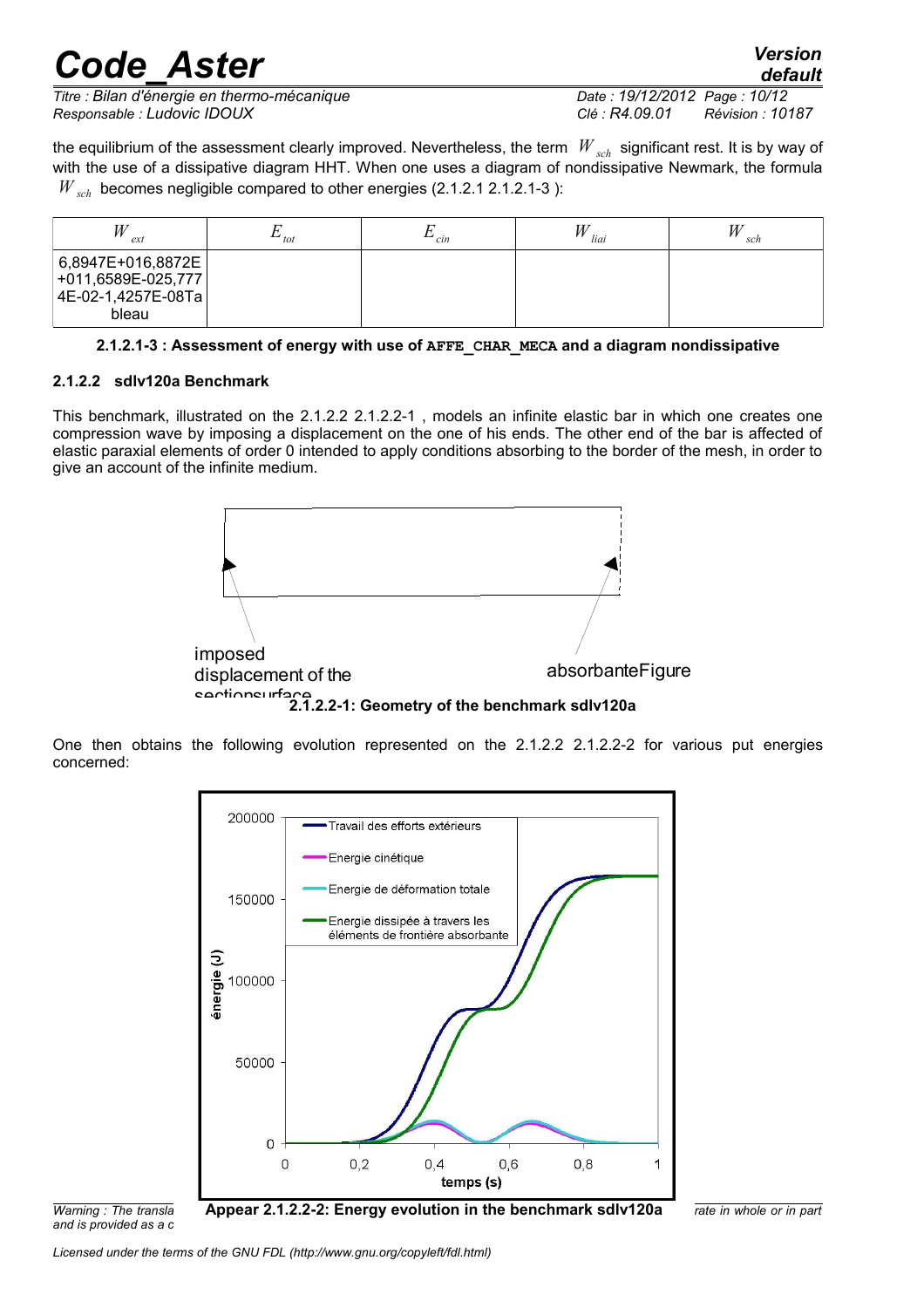*default*

*Titre : Bilan d'énergie en thermo-mécanique Date : 19/12/2012 Page : 10/12 Responsable : Ludovic IDOUX Clé : R4.09.01 Révision : 10187*

the equilibrium of the assessment clearly improved. Nevertheless, the term *W sch* significant rest. It is by way of with the use of a dissipative diagram HHT. When one uses a diagram of nondissipative Newmark, the formula *W*<sub>sch</sub> becomes negligible compared to other energies (2.1.2.1 2.1.2.1-3):

| ex1                                                                        | . <i>.</i><br>tot | cin | liai | sch |
|----------------------------------------------------------------------------|-------------------|-----|------|-----|
| 6,8947E+016,8872E<br>$+011,6589E-025,777$<br> 4E-02-1,4257E-08Ta <br>bleau |                   |     |      |     |

#### <span id="page-9-2"></span><span id="page-9-0"></span>**2.1.2.1-3 : Assessment of energy with use of AFFE\_CHAR\_MECA and a diagram nondissipative**

#### **2.1.2.2 sdlv120a Benchmark**

This benchmark, illustrated on the 2.1.2.2 2.1.2.2-1 , models an infinite elastic bar in which one creates one compression wave by imposing a displace[ment on th](#page-9-1)e one of his ends. The other end of the bar is affected of elastic paraxial elements of order 0 intended to apply conditions absorbing to the border of the mesh, in order to give an account of the infinite medium.



<span id="page-9-1"></span>One then obtains the following evolution represented on the 2.1.2.2 2.1.2.2-2 for various put energies concerned:



*and is provided as a c*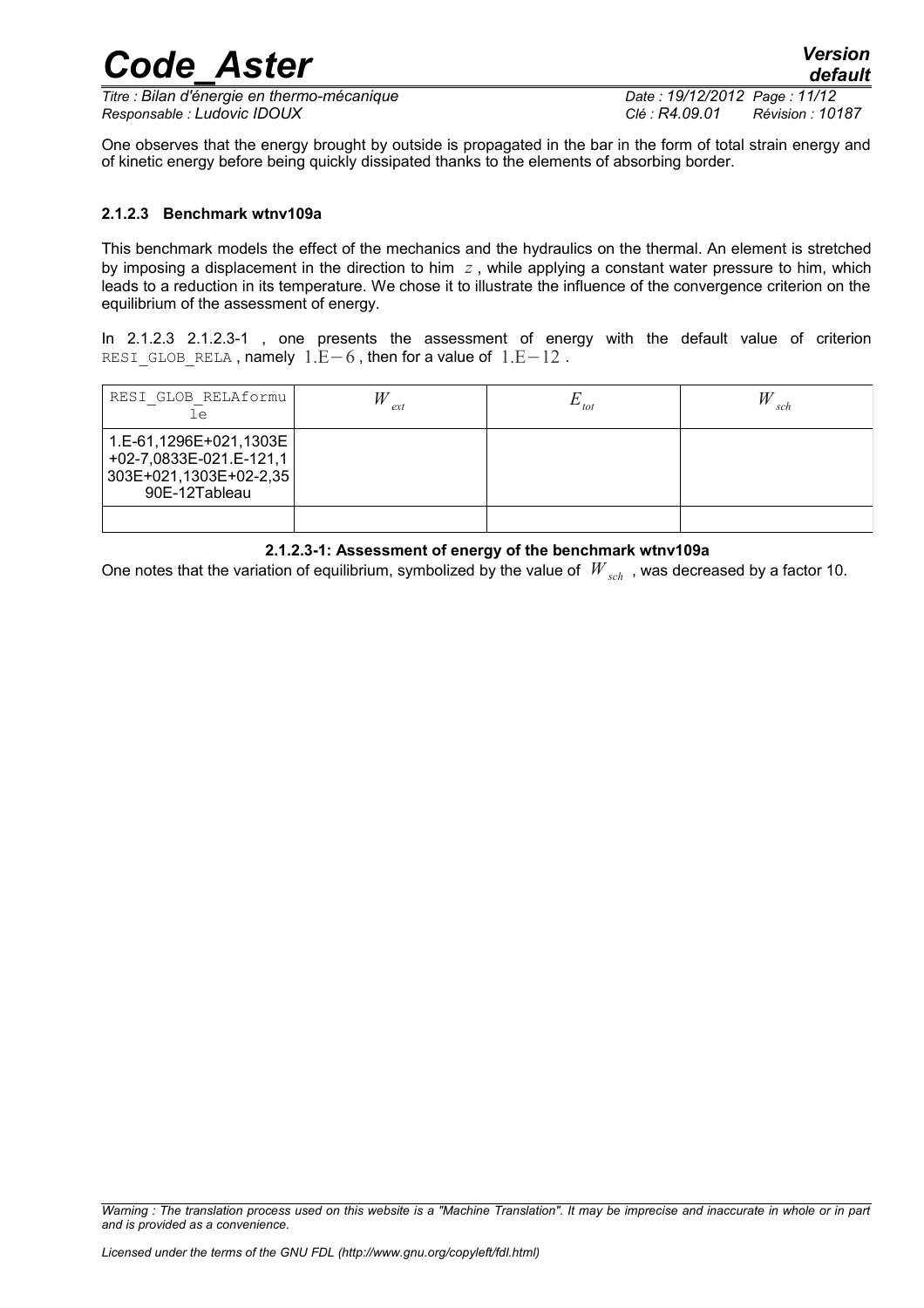*Titre : Bilan d'énergie en thermo-mécanique Date : 19/12/2012 Page : 11/12 Responsable : Ludovic IDOUX Clé : R4.09.01 Révision : 10187*

*default*

One observes that the energy brought by outside is propagated in the bar in the form of total strain energy and of kinetic energy before being quickly dissipated thanks to the elements of absorbing border.

*Code\_Aster Version*

### <span id="page-10-0"></span>**2.1.2.3 Benchmark wtnv109a**

This benchmark models the effect of the mechanics and the hydraulics on the thermal. An element is stretched by imposing a displacement in the direction to him *z* , while applying a constant water pressure to him, which leads to a reduction in its temperature. We chose it to illustrate the influence of the convergence criterion on the equilibrium of the assessment of energy.

In 2.1.2.3 2.1.2.3-1 , one presents the assessment of energy with the default value of criterion RESI GLOB RELA , namely  $1.E-6$  , then for a value of  $1.E-12$  .

| RESI GLOB RELAformu<br>Le                                                                    | ex | $\omega$ | sch |
|----------------------------------------------------------------------------------------------|----|----------|-----|
| 1.E-61,1296E+021,1303E<br>+02-7,0833E-021.E-121,1<br>303E+021,1303E+02-2,35<br>90E-12Tableau |    |          |     |
|                                                                                              |    |          |     |

#### <span id="page-10-1"></span>**2.1.2.3-1: Assessment of energy of the benchmark wtnv109a**

One notes that the variation of equilibrium, symbolized by the value of  $W_{sch}$ , was decreased by a factor 10.

*Warning : The translation process used on this website is a "Machine Translation". It may be imprecise and inaccurate in whole or in part and is provided as a convenience.*